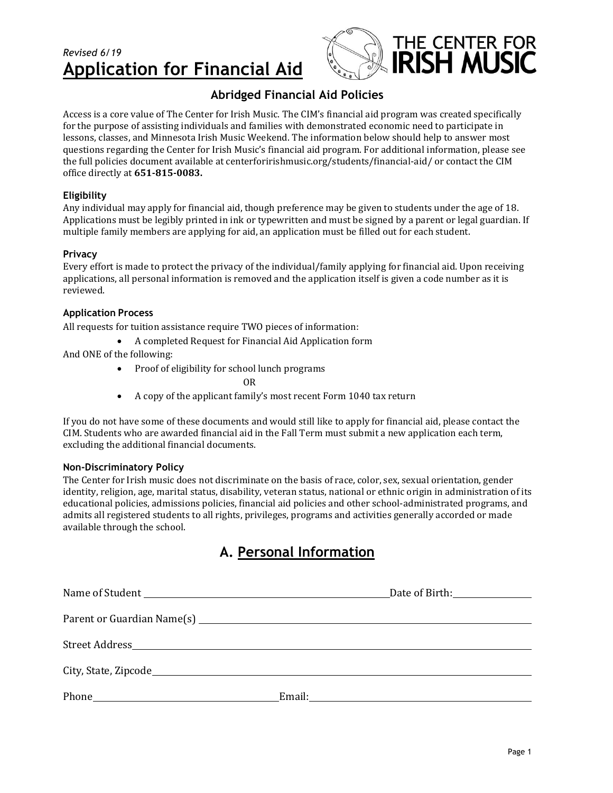## *Revised 6/19* **Application for Financial Aid**



### **Abridged Financial Aid Policies**

Access is a core value of The Center for Irish Music. The CIM's financial aid program was created specifically for the purpose of assisting individuals and families with demonstrated economic need to participate in lessons, classes, and Minnesota Irish Music Weekend. The information below should help to answer most questions regarding the Center for Irish Music's financial aid program. For additional information, please see the full policies document available at centerforirishmusic.org/students/financial-aid/ or contact the CIM office directly at **651-815-0083.**

#### **Eligibility**

Any individual may apply for financial aid, though preference may be given to students under the age of 18. Applications must be legibly printed in ink or typewritten and must be signed by a parent or legal guardian. If multiple family members are applying for aid, an application must be filled out for each student.

#### **Privacy**

Every effort is made to protect the privacy of the individual/family applying for financial aid. Upon receiving applications, all personal information is removed and the application itself is given a code number as it is reviewed.

#### **Application Process**

All requests for tuition assistance require TWO pieces of information:

A completed Request for Financial Aid Application form

And ONE of the following:

Proof of eligibility for school lunch programs

OR

A copy of the applicant family's most recent Form 1040 tax return

If you do not have some of these documents and would still like to apply for financial aid, please contact the CIM. Students who are awarded financial aid in the Fall Term must submit a new application each term, excluding the additional financial documents.

#### **Non-Discriminatory Policy**

The Center for Irish music does not discriminate on the basis of race, color, sex, sexual orientation, gender identity, religion, age, marital status, disability, veteran status, national or ethnic origin in administration of its educational policies, admissions policies, financial aid policies and other school-administrated programs, and admits all registered students to all rights, privileges, programs and activities generally accorded or made available through the school.

## **A. Personal Information**

| Name of Student <b>Example 2</b> Date of Birth: <b>Date of Birth:</b> |  |
|-----------------------------------------------------------------------|--|
|                                                                       |  |
|                                                                       |  |
|                                                                       |  |
|                                                                       |  |
|                                                                       |  |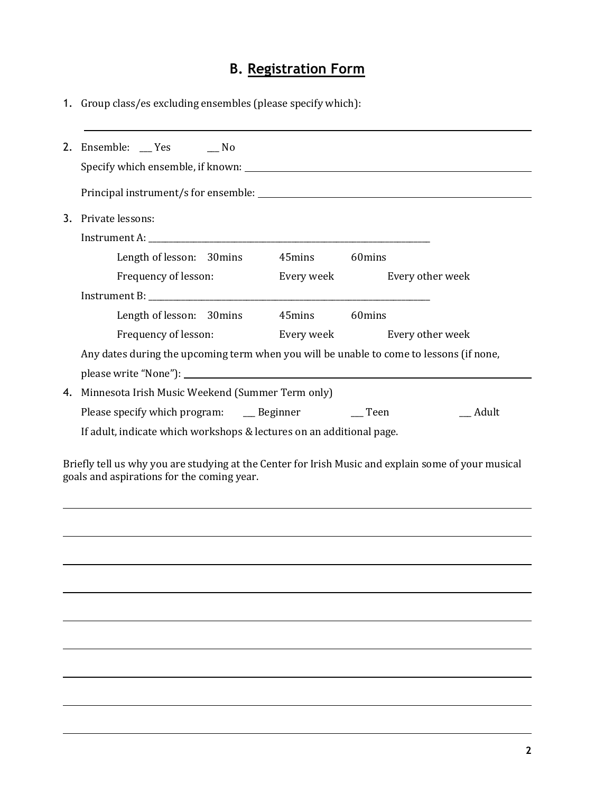# **B. Registration Form**

1. Group class/es excluding ensembles (please specify which):

|                                                                                                                                                   | 2. Ensemble: _ Yes _ _ No                                                                                                                                                                      |  |  |
|---------------------------------------------------------------------------------------------------------------------------------------------------|------------------------------------------------------------------------------------------------------------------------------------------------------------------------------------------------|--|--|
|                                                                                                                                                   |                                                                                                                                                                                                |  |  |
|                                                                                                                                                   | 3. Private lessons:<br>Length of lesson: 30mins 45mins 60mins                                                                                                                                  |  |  |
|                                                                                                                                                   | Frequency of lesson:<br>Every week Every other week                                                                                                                                            |  |  |
|                                                                                                                                                   | Length of lesson: 30mins 45mins 60mins<br>Frequency of lesson: Every week Every other week<br>Any dates during the upcoming term when you will be unable to come to lessons (if none,          |  |  |
|                                                                                                                                                   |                                                                                                                                                                                                |  |  |
|                                                                                                                                                   | 4. Minnesota Irish Music Weekend (Summer Term only)<br>Please specify which program: ___ Beginner ___ Teen<br>__ Adult<br>If adult, indicate which workshops & lectures on an additional page. |  |  |
| Briefly tell us why you are studying at the Center for Irish Music and explain some of your musical<br>goals and aspirations for the coming year. |                                                                                                                                                                                                |  |  |
|                                                                                                                                                   |                                                                                                                                                                                                |  |  |
|                                                                                                                                                   |                                                                                                                                                                                                |  |  |
|                                                                                                                                                   |                                                                                                                                                                                                |  |  |
|                                                                                                                                                   |                                                                                                                                                                                                |  |  |
|                                                                                                                                                   |                                                                                                                                                                                                |  |  |
|                                                                                                                                                   |                                                                                                                                                                                                |  |  |
|                                                                                                                                                   |                                                                                                                                                                                                |  |  |
|                                                                                                                                                   |                                                                                                                                                                                                |  |  |